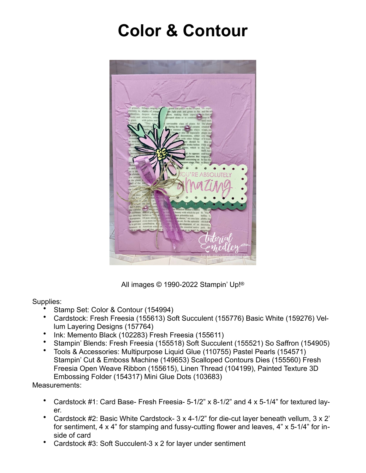## **Color & Contour**



All images © 1990-2022 Stampin' Up!®

## Supplies:

- Stamp Set: Color & Contour (154994)
- Cardstock: Fresh Freesia (155613) Soft Succulent (155776) Basic White (159276) Vellum Layering Designs (157764)
- Ink: Memento Black (102283) Fresh Freesia (155611)
- Stampin' Blends: Fresh Freesia (155518) Soft Succulent (155521) So Saffron (154905)
- Tools & Accessories: Multipurpose Liquid Glue (110755) Pastel Pearls (154571) Stampin' Cut & Emboss Machine (149653) Scalloped Contours Dies (155560) Fresh Freesia Open Weave Ribbon (155615), Linen Thread (104199), Painted Texture 3D Embossing Folder (154317) Mini Glue Dots (103683)

Measurements:

- Cardstock #1: Card Base- Fresh Freesia- 5-1/2" x 8-1/2" and 4 x 5-1/4" for textured layer.
- Cardstock #2: Basic White Cardstock- 3 x 4-1/2" for die-cut layer beneath vellum, 3 x 2' for sentiment, 4 x 4" for stamping and fussy-cutting flower and leaves, 4" x 5-1/4" for inside of card
- Cardstock #3: Soft Succulent-3 x 2 for layer under sentiment